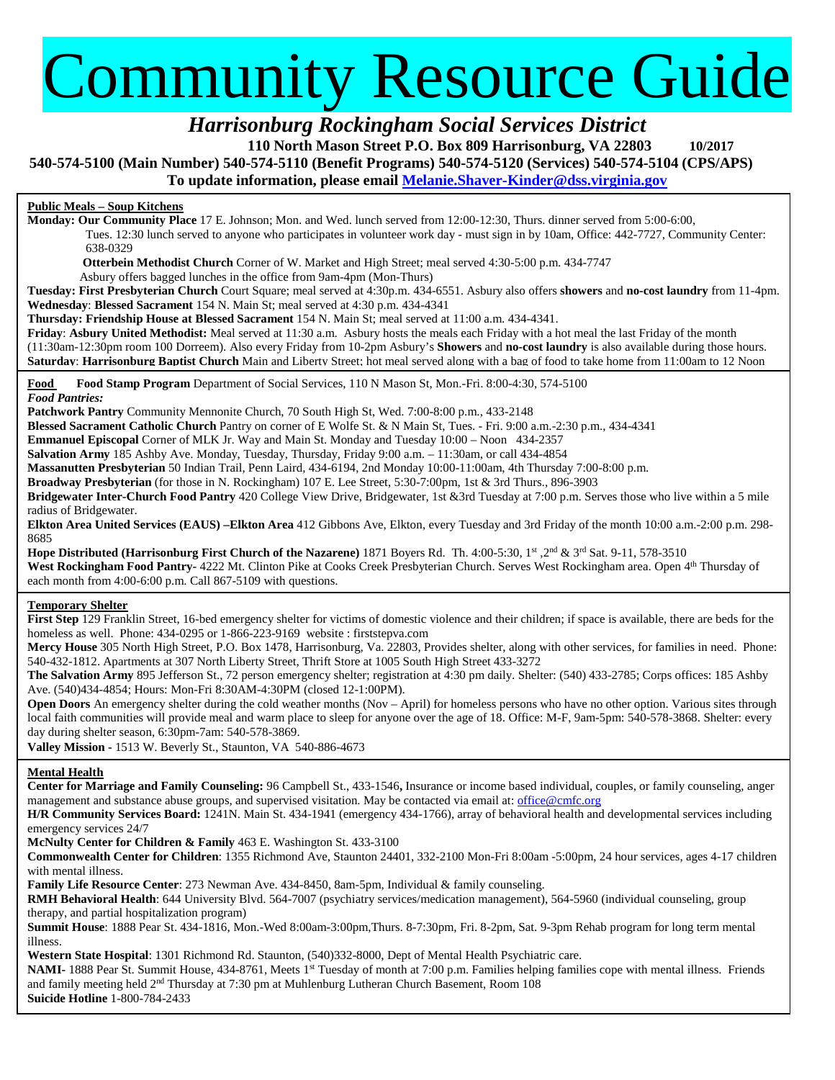# Community Resource Guide

*Harrisonburg Rockingham Social Services District* 

**110 North Mason Street P.O. Box 809 Harrisonburg, VA 22803 10/2017**

**540-574-5100 (Main Number) 540-574-5110 (Benefit Programs) 540-574-5120 (Services) 540-574-5104 (CPS/APS)**

**To update information, please email [Melanie.Shaver-Kinder@dss.virginia.gov](mailto:Melanie.Shaver-Kinder@dss.virginia.gov)**

# **Public Meals – Soup Kitchens**

**Monday: Our Community Place** 17 E. Johnson; Mon. and Wed. lunch served from 12:00-12:30, Thurs. dinner served from 5:00-6:00, Tues. 12:30 lunch served to anyone who participates in volunteer work day - must sign in by 10am, Office: 442-7727, Community Center: 638-0329

 **Otterbein Methodist Church** Corner of W. Market and High Street; meal served 4:30-5:00 p.m. 434-7747

Asbury offers bagged lunches in the office from 9am-4pm (Mon-Thurs)

**Tuesday: First Presbyterian Church** Court Square; meal served at 4:30p.m. 434-6551. Asbury also offers **showers** and **no-cost laundry** from 11-4pm. **Wednesday**: **Blessed Sacrament** 154 N. Main St; meal served at 4:30 p.m. 434-4341

**Thursday: Friendship House at Blessed Sacrament** 154 N. Main St; meal served at 11:00 a.m. 434-4341.

**Friday**: **Asbury United Methodist:** Meal served at 11:30 a.m. Asbury hosts the meals each Friday with a hot meal the last Friday of the month (11:30am-12:30pm room 100 Dorreem). Also every Friday from 10-2pm Asbury's **Showers** and **no-cost laundry** is also available during those hours. **Saturday**: **Harrisonburg Baptist Church** Main and Liberty Street; hot meal served along with a bag of food to take home from 11:00am to 12 Noon

**Food Food Stamp Program** Department of Social Services, 110 N Mason St, Mon.-Fri. 8:00-4:30, 574-5100 *Food Pantries:* 

**Patchwork Pantry** Community Mennonite Church, 70 South High St, Wed. 7:00-8:00 p.m., 433-2148

**Blessed Sacrament Catholic Church** Pantry on corner of E Wolfe St. & N Main St, Tues. - Fri. 9:00 a.m.-2:30 p.m., 434-4341

**Emmanuel Episcopal** Corner of MLK Jr. Way and Main St. Monday and Tuesday 10:00 – Noon 434-2357

**Salvation Army** 185 Ashby Ave. Monday, Tuesday, Thursday, Friday 9:00 a.m. – 11:30am, or call 434-4854

**Massanutten Presbyterian** 50 Indian Trail, Penn Laird, 434-6194, 2nd Monday 10:00-11:00am, 4th Thursday 7:00-8:00 p.m.

**Broadway Presbyterian** (for those in N. Rockingham) 107 E. Lee Street, 5:30-7:00pm, 1st & 3rd Thurs., 896-3903

**Bridgewater Inter-Church Food Pantry** 420 College View Drive, Bridgewater, 1st &3rd Tuesday at 7:00 p.m. Serves those who live within a 5 mile radius of Bridgewater.

**Elkton Area United Services (EAUS) –Elkton Area** 412 Gibbons Ave, Elkton, every Tuesday and 3rd Friday of the month 10:00 a.m.-2:00 p.m. 298- 8685

**Hope Distributed (Harrisonburg First Church of the Nazarene)** 1871 Boyers Rd. Th. 4:00-5:30, 1st ,2nd & 3rd Sat. 9-11, 578-3510 West Rockingham Food Pantry- 4222 Mt. Clinton Pike at Cooks Creek Presbyterian Church. Serves West Rockingham area. Open 4<sup>th</sup> Thursday of each month from 4:00-6:00 p.m. Call 867-5109 with questions.

# **Temporary Shelter**

**First Step** 129 Franklin Street, 16-bed emergency shelter for victims of domestic violence and their children; if space is available, there are beds for the homeless as well. Phone: 434-0295 or 1-866-223-9169 website : firststepva.com

**Mercy House** 305 North High Street, P.O. Box 1478, Harrisonburg, Va. 22803, Provides shelter, along with other services, for families in need.Phone: 540-432-1812. Apartments at 307 North Liberty Street, Thrift Store at 1005 South High Street 433-3272

**The Salvation Army** 895 Jefferson St., 72 person emergency shelter; registration at 4:30 pm daily. Shelter: (540) 433-2785; Corps offices: 185 Ashby Ave. (540)434-4854; Hours: Mon-Fri 8:30AM-4:30PM (closed 12-1:00PM).

**Open Doors** An emergency shelter during the cold weather months (Nov – April) for homeless persons who have no other option. Various sites through local faith communities will provide meal and warm place to sleep for anyone over the age of 18. Office: M-F, 9am-5pm: 540-578-3868. Shelter: every day during shelter season, 6:30pm-7am: 540-578-3869.

**Valley Mission -** 1513 W. Beverly St., Staunton, VA 540-886-4673

# **Mental Health**

**Center for Marriage and Family Counseling:** 96 Campbell St., 433-1546**,** Insurance or income based individual, couples, or family counseling, anger management and substance abuse groups, and supervised visitation. May be contacted via email at[: office@cmfc.org](mailto:office@cmfc.org)

**H/R Community Services Board:** 1241N. Main St. 434-1941 (emergency 434-1766), array of behavioral health and developmental services including emergency services 24/7

**McNulty Center for Children & Family** 463 E. Washington St. 433-3100

**Commonwealth Center for Children**: 1355 Richmond Ave, Staunton 24401, 332-2100 Mon-Fri 8:00am -5:00pm, 24 hour services, ages 4-17 children with mental illness.

**Family Life Resource Center**: 273 Newman Ave. 434-8450, 8am-5pm, Individual & family counseling.

**RMH Behavioral Health**: 644 University Blvd. 564-7007 (psychiatry services/medication management), 564-5960 (individual counseling, group therapy, and partial hospitalization program)

**Summit House**: 1888 Pear St. 434-1816, Mon.-Wed 8:00am-3:00pm,Thurs. 8-7:30pm, Fri. 8-2pm, Sat. 9-3pm Rehab program for long term mental illness.

**Western State Hospital**: 1301 Richmond Rd. Staunton, (540)332-8000, Dept of Mental Health Psychiatric care.

NAMI-1888 Pear St. Summit House, 434-8761, Meets 1<sup>st</sup> Tuesday of month at 7:00 p.m. Families helping families cope with mental illness. Friends and family meeting held 2nd Thursday at 7:30 pm at Muhlenburg Lutheran Church Basement, Room 108

**Suicide Hotline** 1-800-784-2433